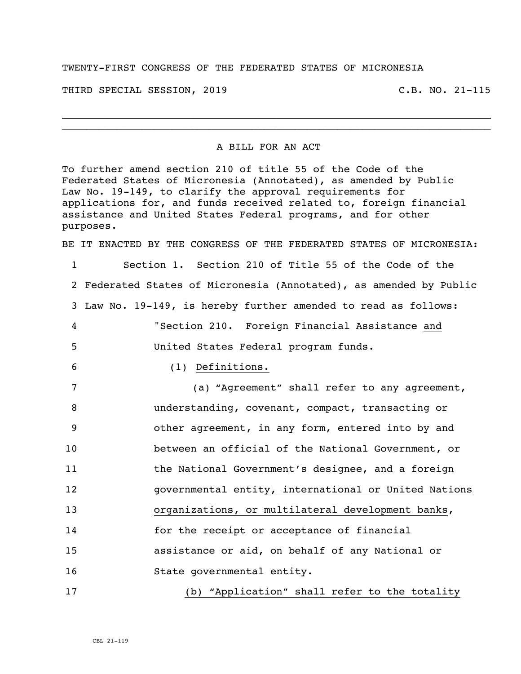TWENTY-FIRST CONGRESS OF THE FEDERATED STATES OF MICRONESIA

THIRD SPECIAL SESSION, 2019 C.B. NO. 21-115

## A BILL FOR AN ACT

\_\_\_\_\_\_\_\_\_\_\_\_\_\_\_\_\_\_\_\_\_\_\_\_\_\_\_\_\_\_\_\_\_\_\_\_\_\_\_\_\_\_\_\_\_\_\_\_\_\_\_\_\_\_\_\_\_\_\_\_\_\_\_\_\_\_\_\_\_\_ \_\_\_\_\_\_\_\_\_\_\_\_\_\_\_\_\_\_\_\_\_\_\_\_\_\_\_\_\_\_\_\_\_\_\_\_\_\_\_\_\_\_\_\_\_\_\_\_\_\_\_\_\_\_\_\_\_\_\_\_\_\_\_\_\_\_\_\_\_\_

To further amend section 210 of title 55 of the Code of the Federated States of Micronesia (Annotated), as amended by Public Law No. 19-149, to clarify the approval requirements for applications for, and funds received related to, foreign financial assistance and United States Federal programs, and for other purposes.

BE IT ENACTED BY THE CONGRESS OF THE FEDERATED STATES OF MICRONESIA:

 Section 1. Section 210 of Title 55 of the Code of the Federated States of Micronesia (Annotated), as amended by Public Law No. 19-149, is hereby further amended to read as follows: "Section 210. Foreign Financial Assistance and United States Federal program funds.

6 (1) Definitions.

 (a) "Agreement" shall refer to any agreement, understanding, covenant, compact, transacting or other agreement, in any form, entered into by and between an official of the National Government, or the National Government's designee, and a foreign governmental entity, international or United Nations organizations, or multilateral development banks, for the receipt or acceptance of financial assistance or aid, on behalf of any National or 16 State governmental entity.

17 (b) "Application" shall refer to the totality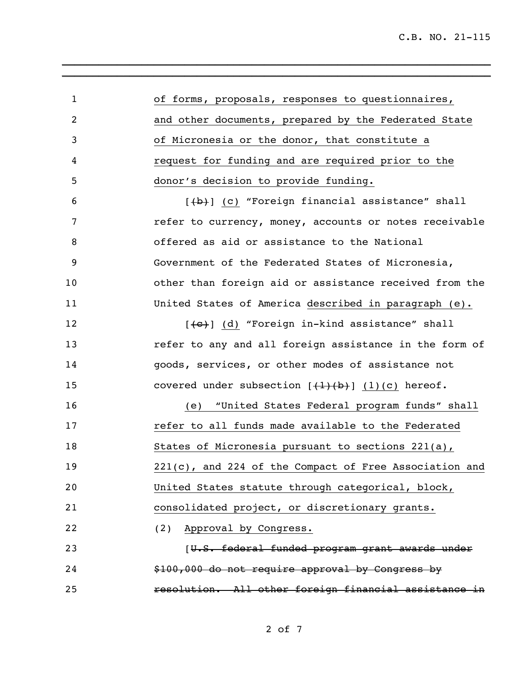| $\mathbf{1}$   | of forms, proposals, responses to questionnaires,           |
|----------------|-------------------------------------------------------------|
| $\overline{2}$ | and other documents, prepared by the Federated State        |
| 3              | of Micronesia or the donor, that constitute a               |
| 4              | request for funding and are required prior to the           |
| 5              | donor's decision to provide funding.                        |
| 6              | $[\frac{b}{b}]$ (c) "Foreign financial assistance" shall    |
| 7              | refer to currency, money, accounts or notes receivable      |
| 8              | offered as aid or assistance to the National                |
| 9              | Government of the Federated States of Micronesia,           |
| 10             | other than foreign aid or assistance received from the      |
| 11             | United States of America described in paragraph (e).        |
| 12             |                                                             |
| 13             | refer to any and all foreign assistance in the form of      |
| 14             | goods, services, or other modes of assistance not           |
| 15             | covered under subsection $[\frac{(1)}{b}]$ $(1)(c)$ hereof. |
| 16             | (e) "United States Federal program funds" shall             |
| 17             | refer to all funds made available to the Federated          |
| 18             | States of Micronesia pursuant to sections 221(a),           |
| 19             | 221(c), and 224 of the Compact of Free Association and      |
| 20             | United States statute through categorical, block,           |
| 21             | consolidated project, or discretionary grants.              |
| 22             | (2) Approval by Congress.                                   |
| 23             | [U.S. federal funded program grant awards under             |
| 24             | \$100,000 do not require approval by Congress by            |
| 25             | resolution. All other foreign financial assistance in       |

\_\_\_\_\_\_\_\_\_\_\_\_\_\_\_\_\_\_\_\_\_\_\_\_\_\_\_\_\_\_\_\_\_\_\_\_\_\_\_\_\_\_\_\_\_\_\_\_\_\_\_\_\_\_\_\_\_\_\_\_\_\_\_\_\_\_\_\_\_\_ \_\_\_\_\_\_\_\_\_\_\_\_\_\_\_\_\_\_\_\_\_\_\_\_\_\_\_\_\_\_\_\_\_\_\_\_\_\_\_\_\_\_\_\_\_\_\_\_\_\_\_\_\_\_\_\_\_\_\_\_\_\_\_\_\_\_\_\_\_\_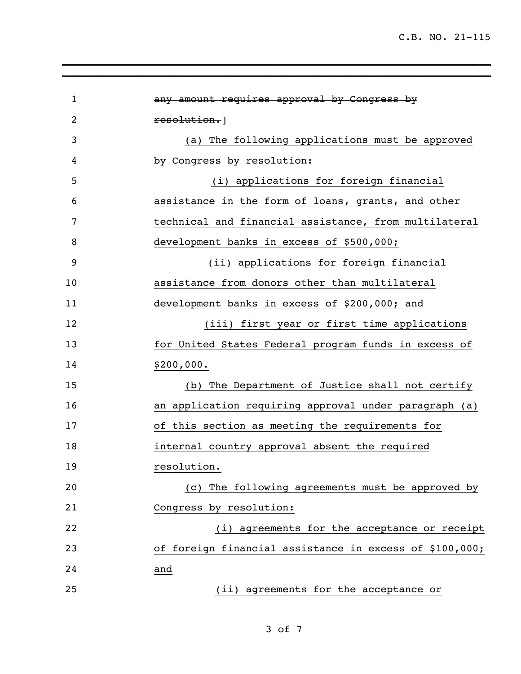C.B. NO. 21-115

| 1              | any amount requires approval by Congress by             |
|----------------|---------------------------------------------------------|
| $\overline{2}$ | resolution.                                             |
| 3              | (a) The following applications must be approved         |
| 4              | by Congress by resolution:                              |
| 5              | (i) applications for foreign financial                  |
| 6              | assistance in the form of loans, grants, and other      |
| 7              | technical and financial assistance, from multilateral   |
| 8              | development banks in excess of \$500,000;               |
| 9              | (ii) applications for foreign financial                 |
| 10             | assistance from donors other than multilateral          |
| 11             | development banks in excess of \$200,000; and           |
| 12             | (iii) first year or first time applications             |
| 13             | for United States Federal program funds in excess of    |
| 14             | \$200,000.                                              |
| 15             | (b) The Department of Justice shall not certify         |
| 16             | an application requiring approval under paragraph (a)   |
| 17             | of this section as meeting the requirements for         |
| 18             | internal country approval absent the required           |
| 19             | resolution.                                             |
| 20             | (c) The following agreements must be approved by        |
| 21             | Congress by resolution:                                 |
| 22             | (i) agreements for the acceptance or receipt            |
| 23             | of foreign financial assistance in excess of \$100,000; |
| 24             | and                                                     |
| 25             | (ii) agreements for the acceptance or                   |

\_\_\_\_\_\_\_\_\_\_\_\_\_\_\_\_\_\_\_\_\_\_\_\_\_\_\_\_\_\_\_\_\_\_\_\_\_\_\_\_\_\_\_\_\_\_\_\_\_\_\_\_\_\_\_\_\_\_\_\_\_\_\_\_\_\_\_\_\_\_ \_\_\_\_\_\_\_\_\_\_\_\_\_\_\_\_\_\_\_\_\_\_\_\_\_\_\_\_\_\_\_\_\_\_\_\_\_\_\_\_\_\_\_\_\_\_\_\_\_\_\_\_\_\_\_\_\_\_\_\_\_\_\_\_\_\_\_\_\_\_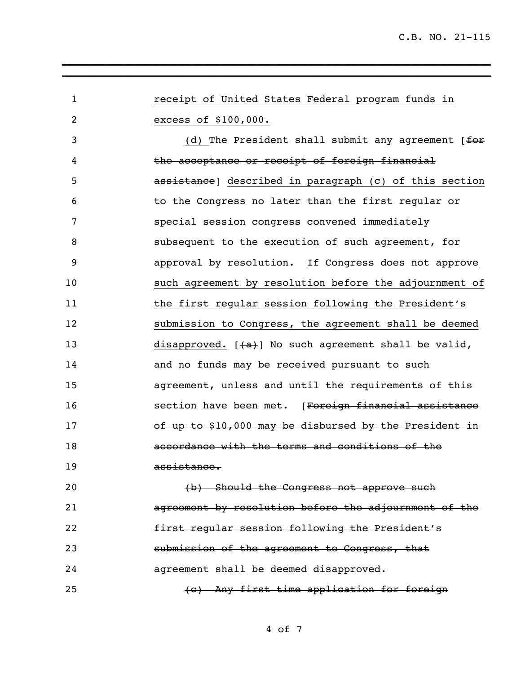| $\mathbf{1}$ | receipt of United States Federal program funds in      |
|--------------|--------------------------------------------------------|
| 2            | excess of \$100,000.                                   |
| 3            | (d) The President shall submit any agreement $f$       |
| 4            | the acceptance or receipt of foreign financial         |
| 5            | assistance] described in paragraph (c) of this section |
| 6            | to the Congress no later than the first regular or     |
| 7            | special session congress convened immediately          |
| 8            | subsequent to the execution of such agreement, for     |
| 9            | approval by resolution. If Congress does not approve   |
| 10           | such agreement by resolution before the adjournment of |
| 11           | the first regular session following the President's    |
| 12           | submission to Congress, the agreement shall be deemed  |
| 13           | disapproved. $[+a+]$ No such agreement shall be valid, |
| 14           | and no funds may be received pursuant to such          |
| 15           | agreement, unless and until the requirements of this   |
| 16           | section have been met. [Foreign financial assistance   |
| 17           | of up to \$10,000 may be disbursed by the President in |
| 18           | accordance with the terms and conditions of the        |
| 19           | assistance.                                            |
| 20           | (b) Should the Congress not approve such               |
| 21           | agreement by resolution before the adjournment of the  |
| 22           | first regular session following the President's        |
| 23           | submission of the agreement to Congress, that          |
| 24           | agreement shall be deemed disapproved.                 |
| 25           | (c) Any first time application for foreign             |

\_\_\_\_\_\_\_\_\_\_\_\_\_\_\_\_\_\_\_\_\_\_\_\_\_\_\_\_\_\_\_\_\_\_\_\_\_\_\_\_\_\_\_\_\_\_\_\_\_\_\_\_\_\_\_\_\_\_\_\_\_\_\_\_\_\_\_\_\_\_ \_\_\_\_\_\_\_\_\_\_\_\_\_\_\_\_\_\_\_\_\_\_\_\_\_\_\_\_\_\_\_\_\_\_\_\_\_\_\_\_\_\_\_\_\_\_\_\_\_\_\_\_\_\_\_\_\_\_\_\_\_\_\_\_\_\_\_\_\_\_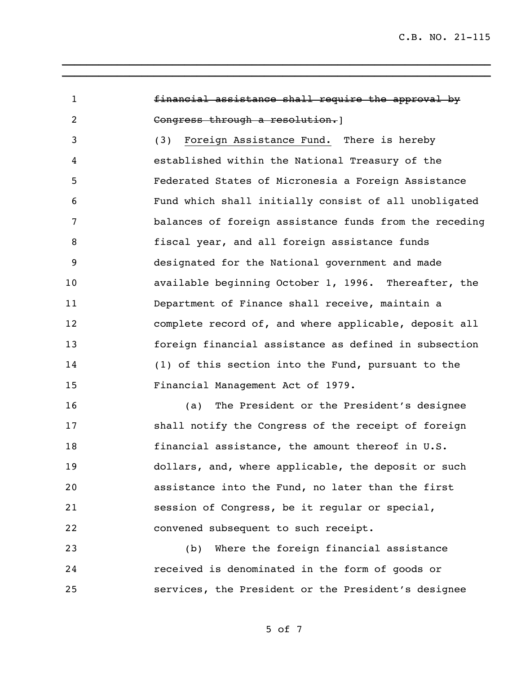financial assistance shall require the approval by Congress through a resolution.] (3) Foreign Assistance Fund. There is hereby established within the National Treasury of the Federated States of Micronesia a Foreign Assistance Fund which shall initially consist of all unobligated balances of foreign assistance funds from the receding fiscal year, and all foreign assistance funds designated for the National government and made available beginning October 1, 1996. Thereafter, the Department of Finance shall receive, maintain a complete record of, and where applicable, deposit all foreign financial assistance as defined in subsection (1) of this section into the Fund, pursuant to the Financial Management Act of 1979.

\_\_\_\_\_\_\_\_\_\_\_\_\_\_\_\_\_\_\_\_\_\_\_\_\_\_\_\_\_\_\_\_\_\_\_\_\_\_\_\_\_\_\_\_\_\_\_\_\_\_\_\_\_\_\_\_\_\_\_\_\_\_\_\_\_\_\_\_\_\_ \_\_\_\_\_\_\_\_\_\_\_\_\_\_\_\_\_\_\_\_\_\_\_\_\_\_\_\_\_\_\_\_\_\_\_\_\_\_\_\_\_\_\_\_\_\_\_\_\_\_\_\_\_\_\_\_\_\_\_\_\_\_\_\_\_\_\_\_\_\_

 (a) The President or the President's designee shall notify the Congress of the receipt of foreign financial assistance, the amount thereof in U.S. dollars, and, where applicable, the deposit or such assistance into the Fund, no later than the first session of Congress, be it regular or special, convened subsequent to such receipt.

 (b) Where the foreign financial assistance received is denominated in the form of goods or services, the President or the President's designee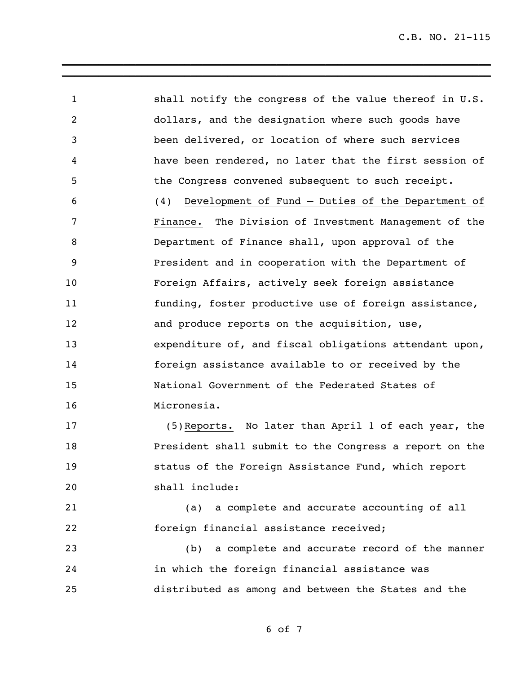shall notify the congress of the value thereof in U.S. dollars, and the designation where such goods have been delivered, or location of where such services have been rendered, no later that the first session of the Congress convened subsequent to such receipt. (4) Development of Fund – Duties of the Department of Finance. The Division of Investment Management of the Department of Finance shall, upon approval of the President and in cooperation with the Department of Foreign Affairs, actively seek foreign assistance funding, foster productive use of foreign assistance, 12 and produce reports on the acquisition, use, expenditure of, and fiscal obligations attendant upon, foreign assistance available to or received by the National Government of the Federated States of Micronesia.

\_\_\_\_\_\_\_\_\_\_\_\_\_\_\_\_\_\_\_\_\_\_\_\_\_\_\_\_\_\_\_\_\_\_\_\_\_\_\_\_\_\_\_\_\_\_\_\_\_\_\_\_\_\_\_\_\_\_\_\_\_\_\_\_\_\_\_\_\_\_ \_\_\_\_\_\_\_\_\_\_\_\_\_\_\_\_\_\_\_\_\_\_\_\_\_\_\_\_\_\_\_\_\_\_\_\_\_\_\_\_\_\_\_\_\_\_\_\_\_\_\_\_\_\_\_\_\_\_\_\_\_\_\_\_\_\_\_\_\_\_

 (5)Reports. No later than April 1 of each year, the President shall submit to the Congress a report on the status of the Foreign Assistance Fund, which report shall include:

 (a) a complete and accurate accounting of all foreign financial assistance received;

 (b) a complete and accurate record of the manner in which the foreign financial assistance was distributed as among and between the States and the